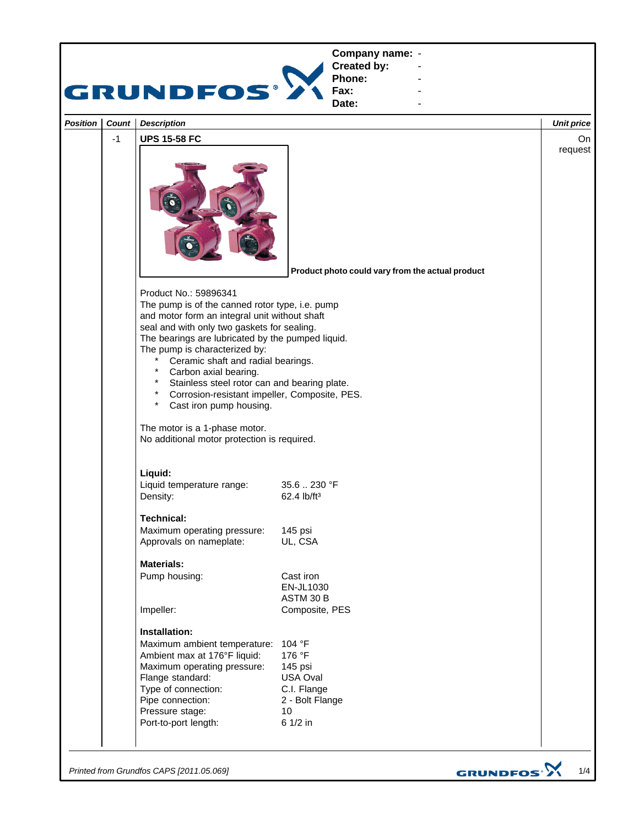

*Printed from Grundfos CAPS [2011.05.069]*

GRUNDFOS<sup>.</sup>>

1/4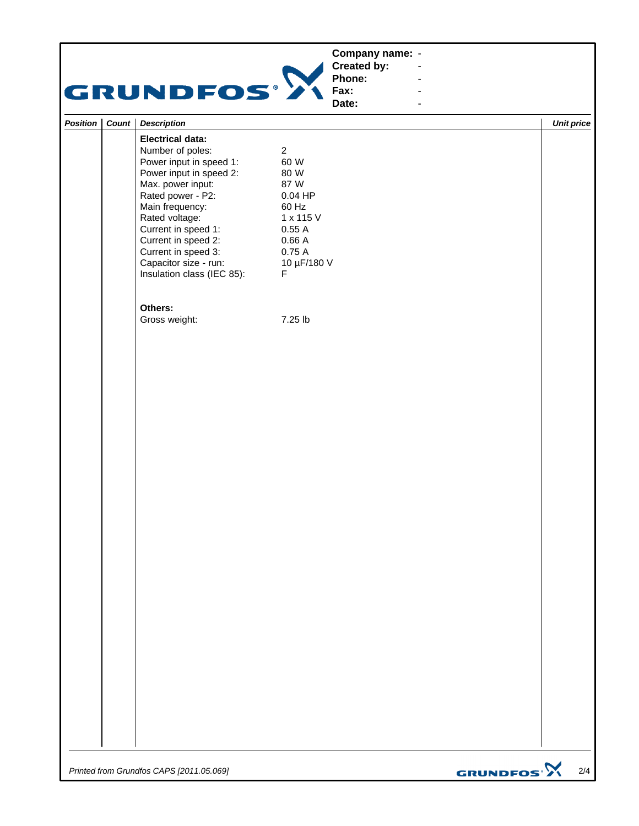|                 |              | GRUNDFOS')                 | Phone:<br>Fax:<br>Date: |                   |
|-----------------|--------------|----------------------------|-------------------------|-------------------|
| <b>Position</b> | <b>Count</b> | <b>Description</b>         |                         | <b>Unit price</b> |
|                 |              | <b>Electrical data:</b>    |                         |                   |
|                 |              | Number of poles:           | 2                       |                   |
|                 |              | Power input in speed 1:    | 60 W                    |                   |
|                 |              | Power input in speed 2:    | 80 W                    |                   |
|                 |              | Max. power input:          | 87 W                    |                   |
|                 |              | Rated power - P2:          | $0.04$ HP               |                   |
|                 |              | Main frequency:            | 60 Hz                   |                   |
|                 |              | Rated voltage:             | 1 x 115 V               |                   |
|                 |              | Current in speed 1:        | 0.55A                   |                   |
|                 |              | Current in speed 2:        | 0.66A                   |                   |
|                 |              | Current in speed 3:        | 0.75A                   |                   |
|                 |              | Capacitor size - run:      | 10 µF/180 V             |                   |
|                 |              | Insulation class (IEC 85): | F                       |                   |
|                 |              | Others:                    |                         |                   |
|                 |              | Gross weight:              | 7.25 lb                 |                   |

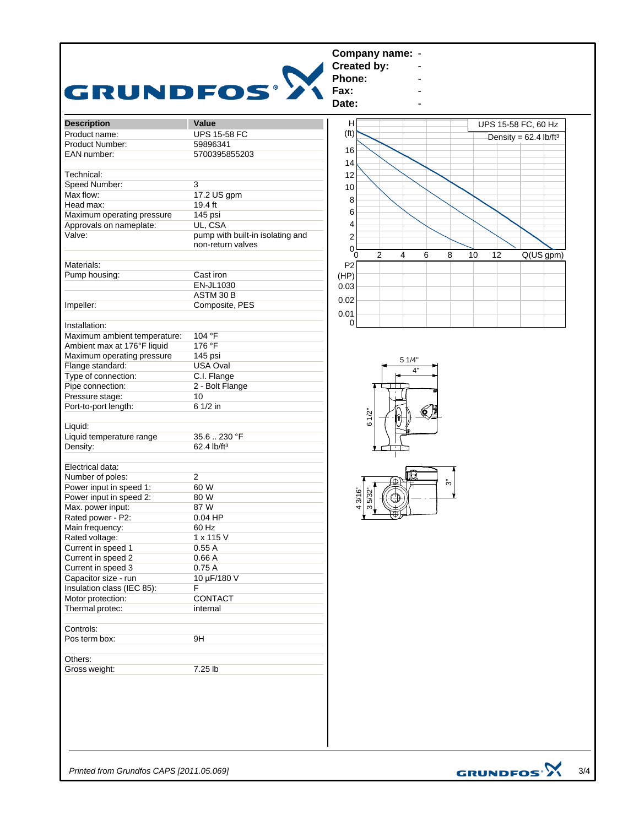| GRUNDFOS <sup>.</sup> >      |                                                       | Company name: -<br><b>Created by:</b><br>Phone:<br>Fax:<br>Date:                           |
|------------------------------|-------------------------------------------------------|--------------------------------------------------------------------------------------------|
| <b>Description</b>           | Value                                                 | н<br>UPS 15-58 FC, 60 Hz                                                                   |
| Product name:                | <b>UPS 15-58 FC</b>                                   | (f <sup>t</sup> )<br>Density = $62.4$ lb/ft <sup>3</sup>                                   |
| Product Number:              | 59896341                                              |                                                                                            |
| EAN number:                  | 5700395855203                                         | 16                                                                                         |
|                              |                                                       | 14                                                                                         |
| Technical:                   |                                                       | 12                                                                                         |
| Speed Number:                | 3                                                     | 10                                                                                         |
| Max flow:                    | 17.2 US gpm                                           |                                                                                            |
| Head max:                    | 19.4 ft                                               | 8                                                                                          |
| Maximum operating pressure   | 145 psi                                               | 6                                                                                          |
| Approvals on nameplate:      | UL, CSA                                               | 4                                                                                          |
| Valve:                       | pump with built-in isolating and<br>non-return valves | 2<br>$\Omega$                                                                              |
| Materials:                   |                                                       | 2<br>$\overline{4}$<br>8<br>10<br>Q(US gpm)<br>6<br>12<br>$\overline{0}$<br>P <sub>2</sub> |
| Pump housing:                | Cast iron                                             | (HP)                                                                                       |
|                              | EN-JL1030                                             | 0.03                                                                                       |
|                              | ASTM 30 B                                             |                                                                                            |
| Impeller:                    | Composite, PES                                        | 0.02                                                                                       |
|                              |                                                       | 0.01                                                                                       |
| Installation:                |                                                       | $\Omega$                                                                                   |
| Maximum ambient temperature: | 104 °F                                                |                                                                                            |
| Ambient max at 176°F liquid  | 176 °F                                                |                                                                                            |
| Maximum operating pressure   | 145 psi                                               |                                                                                            |
| Flange standard:             | <b>USA Oval</b>                                       | 5 1/4"                                                                                     |
| Type of connection:          | C.I. Flange                                           |                                                                                            |
| Pipe connection:             | 2 - Bolt Flange                                       |                                                                                            |
| Pressure stage:              | 10                                                    |                                                                                            |
| Port-to-port length:         | 6 1/2 in                                              |                                                                                            |
| Liquid:                      |                                                       | 61/2"                                                                                      |
| Liquid temperature range     | 35.6  230 °F                                          |                                                                                            |
| Density:                     | 62.4 lb/ft <sup>3</sup>                               |                                                                                            |
| Electrical data:             |                                                       |                                                                                            |
| Number of poles:             | $\overline{2}$                                        | ₩                                                                                          |
| Power input in speed 1:      | 60 W                                                  | స్                                                                                         |
| Power input in speed 2:      | 80 W                                                  | 43/16"<br>35/32"<br>⊕                                                                      |
| Max. power input:            | 87 W                                                  |                                                                                            |
| Rated power - P2:            | $0.04$ HP                                             | $\frac{1}{\sqrt{2}}$                                                                       |
| Main frequency:              | 60 Hz                                                 |                                                                                            |
| Rated voltage:               | 1 x 115 V                                             |                                                                                            |
| Current in speed 1           | 0.55A                                                 |                                                                                            |
| Current in speed 2           | 0.66A                                                 |                                                                                            |
| Current in speed 3           | 0.75A                                                 |                                                                                            |
| Capacitor size - run         | 10 µF/180 V                                           |                                                                                            |
| Insulation class (IEC 85):   | F                                                     |                                                                                            |
| Motor protection:            | CONTACT                                               |                                                                                            |
| Thermal protec:              | internal                                              |                                                                                            |
|                              |                                                       |                                                                                            |
| Controls:                    |                                                       |                                                                                            |
| Pos term box:                | 9H                                                    |                                                                                            |
| Others:                      |                                                       |                                                                                            |
|                              | 7.25 lb                                               |                                                                                            |
| Gross weight:                |                                                       |                                                                                            |

*Printed from Grundfos CAPS [2011.05.069]*

GRUNDFOS<sup>.</sup> 3/4